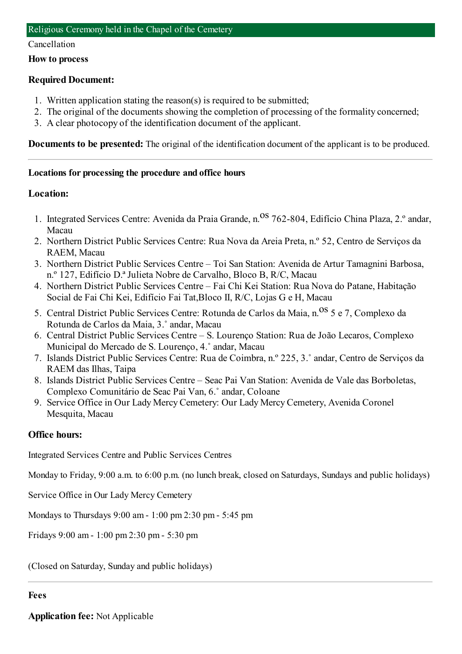#### Cancellation

### **How to process**

# **Required Document:**

- 1. Written application stating the reason(s) is required to be submitted;
- 2. The original of the documents showing the completion of processing of the formality concerned;
- 3. A clear photocopy of the identification document of the applicant.

**Documents to be presented:** The original of the identification document of the applicant is to be produced.

# **Locations for processing the procedure and office hours**

# **Location:**

- 1. Integrated Services Centre: Avenida da Praia Grande, n. Os 762-804, Edifício China Plaza, 2.º andar, Macau
- 2. Northern District Public Services Centre: Rua Nova da Areia Preta, n.º 52, Centro de Serviços da RAEM, Macau
- 3. Northern District Public Services Centre Toi San Station: Avenida de Artur Tamagnini Barbosa, n.º 127, Edifício D.ª Julieta Nobre de Carvalho, Bloco B, R/C, Macau
- 4. Northern District Public Services Centre Fai Chi Kei Station: Rua Nova do Patane, Habitação Social de Fai Chi Kei, Edifício Fai Tat,Bloco II, R/C, Lojas G e H, Macau
- 5. Central District Public Services Centre: Rotunda de Carlos da Maia, n. <sup>OS</sup> 5 e 7, Complexo da Rotunda de Carlos da Maia, 3.˚ andar, Macau
- 6. Central District Public Services Centre S. Lourenço Station: Rua de João Lecaros, Complexo Municipal do Mercado de S. Lourenço, 4.˚ andar, Macau
- 7. Islands District Public Services Centre: Rua de Coimbra, n.º 225, 3.˚ andar, Centro de Serviços da RAEM das Ilhas, Taipa
- 8. Islands District Public Services Centre Seac Pai Van Station: Avenida de Vale das Borboletas, Complexo Comunitário de Seac Pai Van, 6.˚ andar, Coloane
- 9. Service Office in Our Lady Mercy Cemetery: Our Lady Mercy Cemetery, Avenida Coronel Mesquita, Macau

# **Office hours:**

Integrated Services Centre and Public Services Centres

Monday to Friday, 9:00 a.m. to 6:00 p.m. (no lunch break, closed on Saturdays, Sundays and public holidays)

Service Office in Our Lady Mercy Cemetery

Mondays to Thursdays 9:00 am- 1:00 pm2:30 pm- 5:45 pm

Fridays 9:00 am- 1:00 pm2:30 pm- 5:30 pm

(Closed on Saturday, Sunday and public holidays)

## **Fees**

**Application fee:** Not Applicable